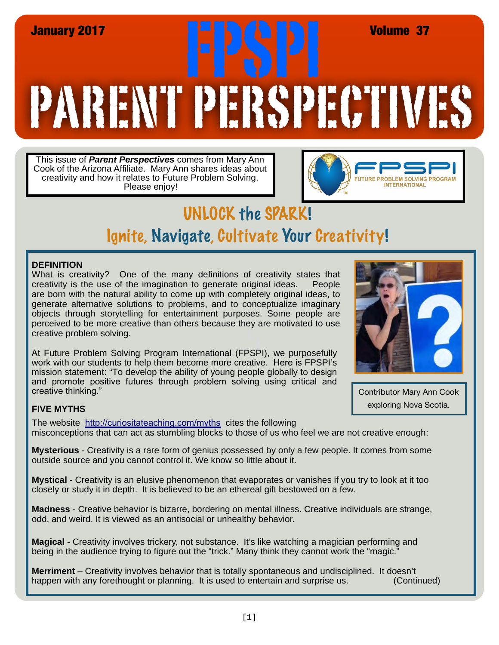# PARENT PERSPECTIVES January 2017<br> **FRANCIS (REALT)**<br> **FRANCIS (REALT)**

This issue of *Parent Perspectives* comes from Mary Ann Cook of the Arizona Affiliate. Mary Ann shares ideas about creativity and how it relates to Future Problem Solving. Please enjoy!



# UNLOCK the SPARK! Ignite, Navigate, Cultivate Your Creativity!

### **DEFINITION**

What is creativity? One of the many definitions of creativity states that creativity is the use of the imagination to generate original ideas. People are born with the natural ability to come up with completely original ideas, to generate alternative solutions to problems, and to conceptualize imaginary objects through storytelling for entertainment purposes. Some people are perceived to be more creative than others because they are motivated to use creative problem solving.

At Future Problem Solving Program International (FPSPI), we purposefully work with our students to help them become more creative. Here is FPSPI's mission statement: "To develop the ability of young people globally to design and promote positive futures through problem solving using critical and creative thinking."



Contributor Mary Ann Cook exploring Nova Scotia.

### **FIVE MYTHS**

The website <http://curiositateaching.com/myths> cites the following misconceptions that can act as stumbling blocks to those of us who feel we are not creative enough:

**Mysterious** - Creativity is a rare form of genius possessed by only a few people. It comes from some outside source and you cannot control it. We know so little about it.

**Mystical** - Creativity is an elusive phenomenon that evaporates or vanishes if you try to look at it too closely or study it in depth. It is believed to be an ethereal gift bestowed on a few.

**Madness** - Creative behavior is bizarre, bordering on mental illness. Creative individuals are strange, odd, and weird. It is viewed as an antisocial or unhealthy behavior.

**Magical** - Creativity involves trickery, not substance. It's like watching a magician performing and being in the audience trying to figure out the "trick." Many think they cannot work the "magic."

**Merriment** – Creativity involves behavior that is totally spontaneous and undisciplined. It doesn't happen with any forethought or planning. It is used to entertain and surprise us. (Continued)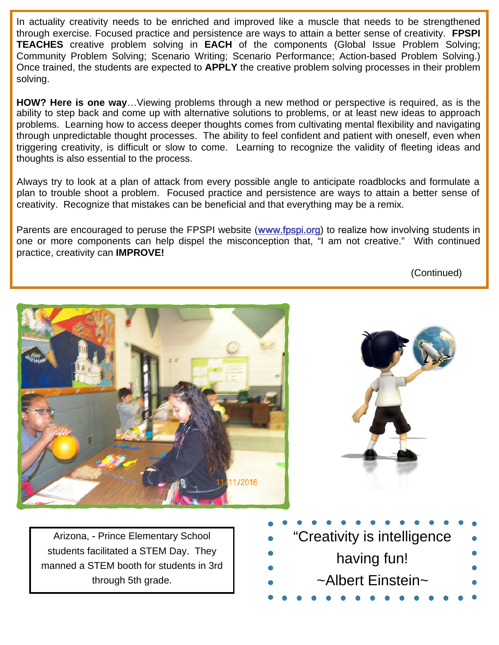In actuality creativity needs to be enriched and improved like a muscle that needs to be strengthened through exercise. Focused practice and persistence are ways to attain a better sense of creativity. **FPSPI TEACHES** creative problem solving in **EACH** of the components (Global Issue Problem Solving; Community Problem Solving; Scenario Writing; Scenario Performance; Action-based Problem Solving.) Once trained, the students are expected to **APPLY** the creative problem solving processes in their problem solving.

**HOW? Here is one way**…Viewing problems through a new method or perspective is required, as is the ability to step back and come up with alternative solutions to problems, or at least new ideas to approach problems. Learning how to access deeper thoughts comes from cultivating mental flexibility and navigating through unpredictable thought processes. The ability to feel confident and patient with oneself, even when triggering creativity, is difficult or slow to come. Learning to recognize the validity of fleeting ideas and thoughts is also essential to the process.

Always try to look at a plan of attack from every possible angle to anticipate roadblocks and formulate a plan to trouble shoot a problem. Focused practice and persistence are ways to attain a better sense of creativity. Recognize that mistakes can be beneficial and that everything may be a remix.

Parents are encouraged to peruse the FPSPI website (**ww**[w.fpspi.org\)](http://www.fpspi.org) to realize how involving students in one or more components can help dispel the misconception that, "I am not creative." With continued practice, creativity can **IMPROVE!** 

(Continued)

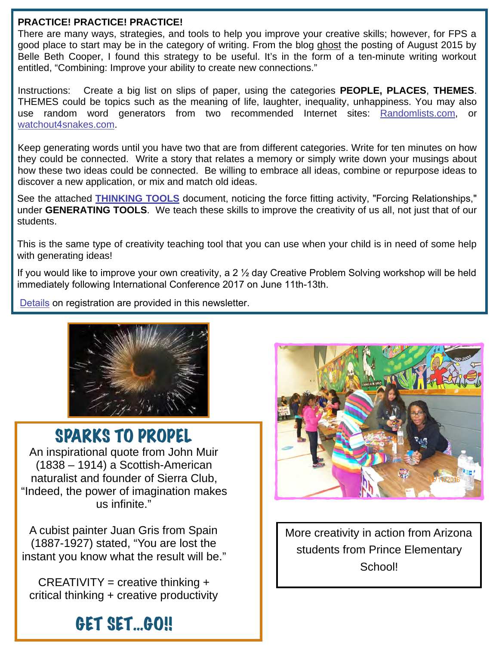### **PRACTICE! PRACTICE! PRACTICE!**

There are many ways, strategies, and tools to help you improve your creative skills; however, for FPS a good place to start may be in the category of writing. From the blog ghost the posting of August 2015 by Belle Beth Cooper, I found this strategy to be useful. It's in the form of a ten-minute writing workout entitled, "Combining: Improve your ability to create new connections."

Instructions: Create a big list on slips of paper, using the categories **PEOPLE, PLACES**, **THEMES**. THEMES could be topics such as the meaning of life, laughter, inequality, unhappiness. You may also use random word generators from two recommended Internet sites: [Randomlists.com,](https://www.randomlists.com/) or watchout4[snakes.com.](http://watchout4snakes.com/) 

Keep generating words until you have two that are from different categories. Write for ten minutes on how they could be connected. Write a story that relates a memory or simply write down your musings about how these two ideas could be connected. Be willing to embrace all ideas, combine or repurpose ideas to discover a new application, or mix and match old ideas.

See the attached **[THINKING TOOLS](#page-3-0)** document, noticing the force fitting activity, "Forcing Relationships," under **GENERATING TOOLS**. We teach these skills to improve the creativity of us all, not just that of our students.

This is the same type of creativity teaching tool that you can use when your child is in need of some help with generating ideas!

If you would like to improve your own creativity, a 2 ½ day Creative Problem Solving workshop will be held immediately following International Conference 2017 on June 11th-13th.

[Details](#page-4-0) on registration are provided in this newsletter.



### SPARKS TO PROPEL

An inspirational quote from John Muir (1838 – 1914) a Scottish-American naturalist and founder of Sierra Club, "Indeed, the power of imagination makes us infinite."

A cubist painter Juan Gris from Spain (1887-1927) stated, "You are lost the instant you know what the result will be."

 $CREATIVITY = creative thinking +$ critical thinking + creative productivity

## GET SET...GO!!



More creativity in action from Arizona students from Prince Elementary School!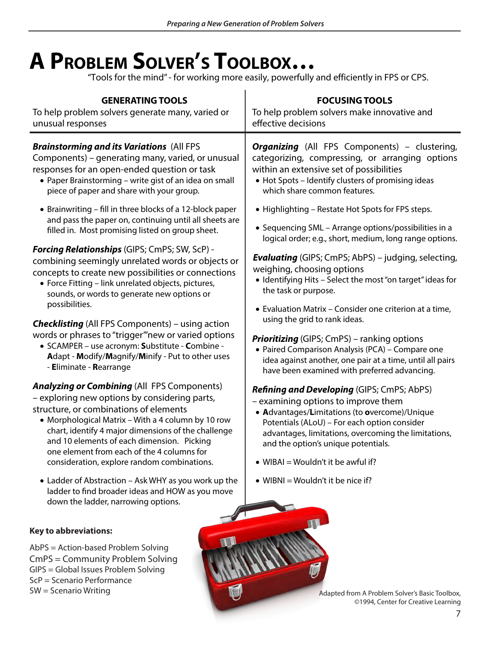# <span id="page-3-0"></span>**A PROBLEM SOLVER'S TOOLBOX…**

"Tools for the mind" - for working more easily, powerfully and efficiently in FPS or CPS.

| <b>GENERATING TOOLS</b><br>To help problem solvers generate many, varied or<br>unusual responses                                                                                                                                                                                                                                                                                                      | <b>FOCUSING TOOLS</b><br>To help problem solvers make innovative and<br>effective decisions                                                                                                                                                                                                                                    |
|-------------------------------------------------------------------------------------------------------------------------------------------------------------------------------------------------------------------------------------------------------------------------------------------------------------------------------------------------------------------------------------------------------|--------------------------------------------------------------------------------------------------------------------------------------------------------------------------------------------------------------------------------------------------------------------------------------------------------------------------------|
| <b>Brainstorming and its Variations (All FPS</b><br>Components) - generating many, varied, or unusual<br>responses for an open-ended question or task<br>• Paper Brainstorming - write gist of an idea on small<br>piece of paper and share with your group.                                                                                                                                          | <b>Organizing</b> (All FPS Components) – clustering,<br>categorizing, compressing, or arranging options<br>within an extensive set of possibilities<br>• Hot Spots - Identify clusters of promising ideas<br>which share common features.                                                                                      |
| • Brainwriting - fill in three blocks of a 12-block paper<br>and pass the paper on, continuing until all sheets are<br>filled in. Most promising listed on group sheet.                                                                                                                                                                                                                               | • Highlighting - Restate Hot Spots for FPS steps.<br>• Sequencing SML - Arrange options/possibilities in a<br>logical order; e.g., short, medium, long range options.                                                                                                                                                          |
| <b>Forcing Relationships</b> (GIPS; CmPS; SW, ScP) -<br>combining seemingly unrelated words or objects or<br>concepts to create new possibilities or connections<br>• Force Fitting - link unrelated objects, pictures,<br>sounds, or words to generate new options or<br>possibilities.                                                                                                              | <b>Evaluating</b> (GIPS; CmPS; AbPS) - judging, selecting,<br>weighing, choosing options<br>• Identifying Hits - Select the most "on target" ideas for<br>the task or purpose.<br>• Evaluation Matrix - Consider one criterion at a time,                                                                                      |
| <b>Checklisting</b> (All FPS Components) – using action<br>words or phrases to "trigger" new or varied options<br>· SCAMPER - use acronym: Substitute - Combine -<br>Adapt - Modify/Magnify/Minify - Put to other uses<br>- Eliminate - Rearrange                                                                                                                                                     | using the grid to rank ideas.<br><b>Prioritizing</b> (GIPS; CmPS) – ranking options<br>· Paired Comparison Analysis (PCA) - Compare one<br>idea against another, one pair at a time, until all pairs<br>have been examined with preferred advancing.                                                                           |
| <b>Analyzing or Combining (All FPS Components)</b><br>- exploring new options by considering parts,<br>structure, or combinations of elements<br>• Morphological Matrix - With a 4 column by 10 row<br>chart, identify 4 major dimensions of the challenge<br>and 10 elements of each dimension. Picking<br>one element from each of the 4 columns for<br>consideration, explore random combinations. | <b>Refining and Developing (GIPS; CmPS; AbPS)</b><br>- examining options to improve them<br>• Advantages/Limitations (to overcome)/Unique<br>Potentials (ALoU) - For each option consider<br>advantages, limitations, overcoming the limitations,<br>and the option's unique potentials.<br>• WIBAI = Wouldn't it be awful if? |
| • Ladder of Abstraction - Ask WHY as you work up the<br>ladder to find broader ideas and HOW as you move<br>down the ladder, narrowing options.                                                                                                                                                                                                                                                       | • WIBNI = Wouldn't it be nice if?                                                                                                                                                                                                                                                                                              |
| <b>Key to abbreviations:</b><br>AbPS = Action-based Problem Solving                                                                                                                                                                                                                                                                                                                                   |                                                                                                                                                                                                                                                                                                                                |
| بشراح ومرماحا وبرزال ويترجمون                                                                                                                                                                                                                                                                                                                                                                         |                                                                                                                                                                                                                                                                                                                                |

CmPS = Community Problem Solving GIPS = Global Issues Problem Solving ScP = Scenario Performance ScP = Scenario Performance<br>SW = Scenario Writing Adapted from A Problem Solver's Basic Toolbox,

©1994, Center for Creative Learning